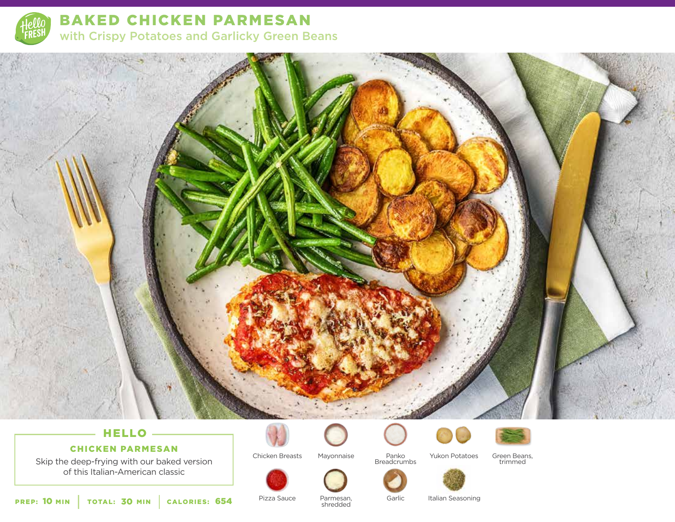

BAKED CHICKEN PARMESAN with Crispy Potatoes and Garlicky Green Beans



# CHICKEN PARMESAN

Skip the deep-frying with our baked version of this Italian-American classic

Chicken Breasts



Mayonnaise Yukon Potatoes Panko Breadcrumbs





Green Beans, trimmed

PREP: 10 MIN | TOTAL: 30 MIN | CALORIES:

**654** Pizza Sauce Parmesan, Garlic<br>
shredded Parmesan, shredded

Italian Seasoning